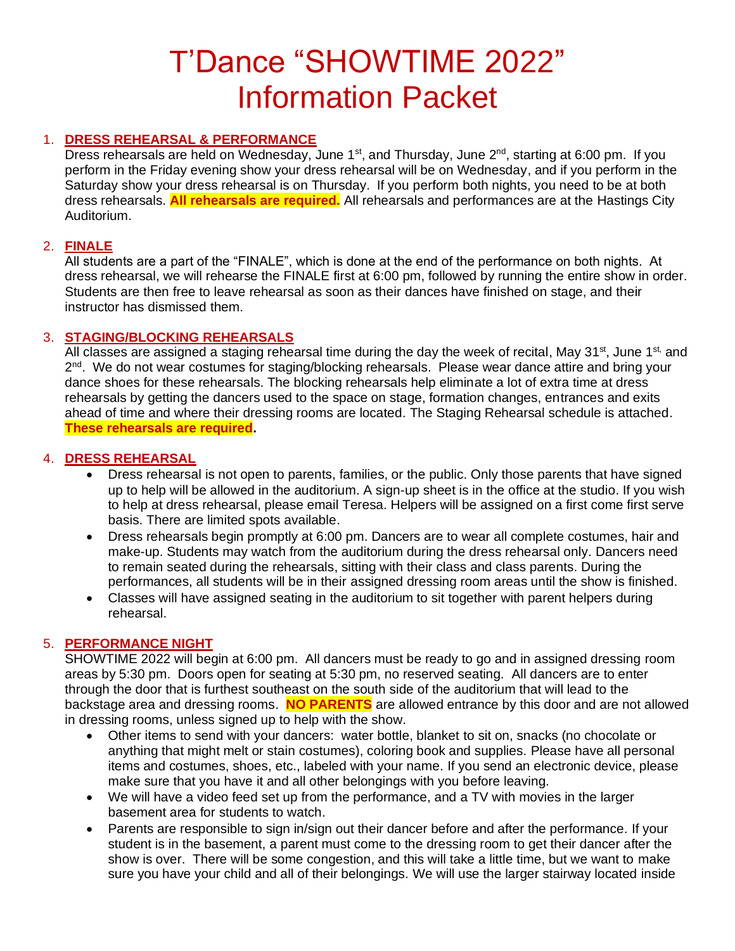# T'Dance "SHOWTIME 2022" Information Packet

# 1. **DRESS REHEARSAL & PERFORMANCE**

Dress rehearsals are held on Wednesday, June 1<sup>st</sup>, and Thursday, June 2<sup>nd</sup>, starting at 6:00 pm. If you perform in the Friday evening show your dress rehearsal will be on Wednesday, and if you perform in the Saturday show your dress rehearsal is on Thursday. If you perform both nights, you need to be at both dress rehearsals. **All rehearsals are required.** All rehearsals and performances are at the Hastings City Auditorium.

# 2. **FINALE**

All students are a part of the "FINALE", which is done at the end of the performance on both nights. At dress rehearsal, we will rehearse the FINALE first at 6:00 pm, followed by running the entire show in order. Students are then free to leave rehearsal as soon as their dances have finished on stage, and their instructor has dismissed them.

# 3. **STAGING/BLOCKING REHEARSALS**

All classes are assigned a staging rehearsal time during the day the week of recital, May 31<sup>st</sup>, June 1<sup>st,</sup> and 2<sup>nd</sup>. We do not wear costumes for staging/blocking rehearsals. Please wear dance attire and bring your dance shoes for these rehearsals. The blocking rehearsals help eliminate a lot of extra time at dress rehearsals by getting the dancers used to the space on stage, formation changes, entrances and exits ahead of time and where their dressing rooms are located. The Staging Rehearsal schedule is attached. **These rehearsals are required.**

# 4. **DRESS REHEARSAL**

- Dress rehearsal is not open to parents, families, or the public. Only those parents that have signed up to help will be allowed in the auditorium. A sign-up sheet is in the office at the studio. If you wish to help at dress rehearsal, please email Teresa. Helpers will be assigned on a first come first serve basis. There are limited spots available.
- Dress rehearsals begin promptly at 6:00 pm. Dancers are to wear all complete costumes, hair and make-up. Students may watch from the auditorium during the dress rehearsal only. Dancers need to remain seated during the rehearsals, sitting with their class and class parents. During the performances, all students will be in their assigned dressing room areas until the show is finished.
- Classes will have assigned seating in the auditorium to sit together with parent helpers during rehearsal.

# 5. **PERFORMANCE NIGHT**

SHOWTIME 2022 will begin at 6:00 pm. All dancers must be ready to go and in assigned dressing room areas by 5:30 pm. Doors open for seating at 5:30 pm, no reserved seating. All dancers are to enter through the door that is furthest southeast on the south side of the auditorium that will lead to the backstage area and dressing rooms. **NO PARENTS** are allowed entrance by this door and are not allowed in dressing rooms, unless signed up to help with the show.

- Other items to send with your dancers: water bottle, blanket to sit on, snacks (no chocolate or anything that might melt or stain costumes), coloring book and supplies. Please have all personal items and costumes, shoes, etc., labeled with your name. If you send an electronic device, please make sure that you have it and all other belongings with you before leaving.
- We will have a video feed set up from the performance, and a TV with movies in the larger basement area for students to watch.
- Parents are responsible to sign in/sign out their dancer before and after the performance. If your student is in the basement, a parent must come to the dressing room to get their dancer after the show is over. There will be some congestion, and this will take a little time, but we want to make sure you have your child and all of their belongings. We will use the larger stairway located inside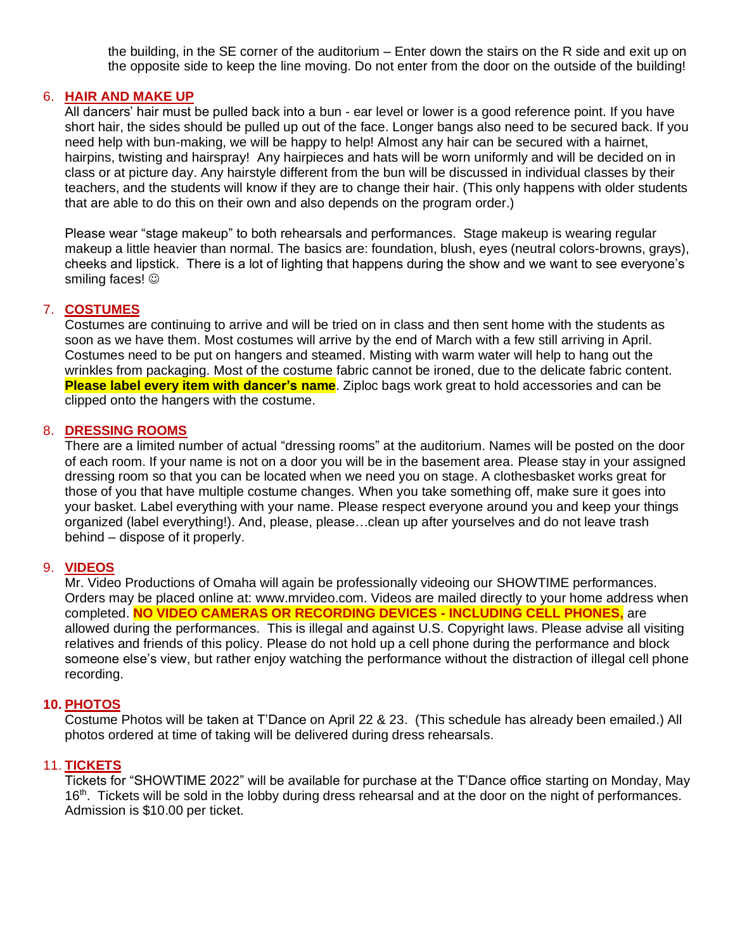the building, in the SE corner of the auditorium – Enter down the stairs on the R side and exit up on the opposite side to keep the line moving. Do not enter from the door on the outside of the building!

## 6. **HAIR AND MAKE UP**

All dancers' hair must be pulled back into a bun - ear level or lower is a good reference point. If you have short hair, the sides should be pulled up out of the face. Longer bangs also need to be secured back. If you need help with bun-making, we will be happy to help! Almost any hair can be secured with a hairnet, hairpins, twisting and hairspray! Any hairpieces and hats will be worn uniformly and will be decided on in class or at picture day. Any hairstyle different from the bun will be discussed in individual classes by their teachers, and the students will know if they are to change their hair. (This only happens with older students that are able to do this on their own and also depends on the program order.)

Please wear "stage makeup" to both rehearsals and performances. Stage makeup is wearing regular makeup a little heavier than normal. The basics are: foundation, blush, eyes (neutral colors-browns, grays), cheeks and lipstick. There is a lot of lighting that happens during the show and we want to see everyone's smiling faces!  $\odot$ 

## 7. **COSTUMES**

Costumes are continuing to arrive and will be tried on in class and then sent home with the students as soon as we have them. Most costumes will arrive by the end of March with a few still arriving in April. Costumes need to be put on hangers and steamed. Misting with warm water will help to hang out the wrinkles from packaging. Most of the costume fabric cannot be ironed, due to the delicate fabric content. **Please label every item with dancer's name**. Ziploc bags work great to hold accessories and can be clipped onto the hangers with the costume.

#### 8. **DRESSING ROOMS**

There are a limited number of actual "dressing rooms" at the auditorium. Names will be posted on the door of each room. If your name is not on a door you will be in the basement area. Please stay in your assigned dressing room so that you can be located when we need you on stage. A clothesbasket works great for those of you that have multiple costume changes. When you take something off, make sure it goes into your basket. Label everything with your name. Please respect everyone around you and keep your things organized (label everything!). And, please, please…clean up after yourselves and do not leave trash behind – dispose of it properly.

#### 9. **VIDEOS**

Mr. Video Productions of Omaha will again be professionally videoing our SHOWTIME performances. Orders may be placed online at: www.mrvideo.com. Videos are mailed directly to your home address when completed. **NO VIDEO CAMERAS OR RECORDING DEVICES - INCLUDING CELL PHONES,** are allowed during the performances. This is illegal and against U.S. Copyright laws. Please advise all visiting relatives and friends of this policy. Please do not hold up a cell phone during the performance and block someone else's view, but rather enjoy watching the performance without the distraction of illegal cell phone recording.

## **10. PHOTOS**

Costume Photos will be taken at T'Dance on April 22 & 23. (This schedule has already been emailed.) All photos ordered at time of taking will be delivered during dress rehearsals.

## 11. **TICKETS**

Tickets for "SHOWTIME 2022" will be available for purchase at the T'Dance office starting on Monday, May 16<sup>th</sup>. Tickets will be sold in the lobby during dress rehearsal and at the door on the night of performances. Admission is \$10.00 per ticket.